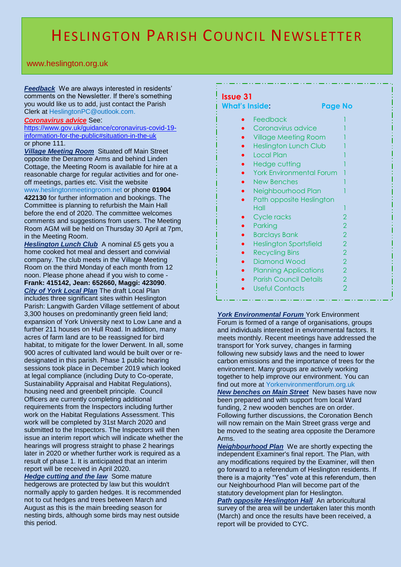## HESLINGTON PARISH COUNCIL NEWSLETTER

www.heslington.org.uk

*Feedback* We are always interested in residents' comments on the Newsletter. If there's something you would like us to add, just contact the Parish Clerk at HeslingtonPC@outlook.com.

## *Coronavirus advice* See:

[https://www.gov.uk/guidance/coronavirus-covid-19](https://www.gov.uk/guidance/coronavirus-covid-19-information-for-the-public#situation-in-the-uk) [information-for-the-public#situation-in-the-uk](https://www.gov.uk/guidance/coronavirus-covid-19-information-for-the-public#situation-in-the-uk) or phone 111.

*Village Meeting Room* Situated off Main Street opposite the Deramore Arms and behind Linden Cottage, the Meeting Room is available for hire at a reasonable charge for regular activities and for oneoff meetings, parties etc. Visit the website www.heslingtonmeetingroom.net or phone **01904 422130** for further information and bookings. The Committee is planning to refurbish the Main Hall before the end of 2020. The committee welcomes comments and suggestions from users. The Meeting Room AGM will be held on Thursday 30 April at 7pm, in the Meeting Room.

**Heslington Lunch Club** A nominal £5 gets you a home cooked hot meal and dessert and convivial company. The club meets in the Village Meeting Room on the third Monday of each month from 12 noon. Please phone ahead if you wish to come - **Frank: 415142, Jean: 652660, Maggi: 423090**. *City of York Local Plan* The draft Local Plan includes three significant sites within Heslington Parish: Langwith Garden Village settlement of about 3,300 houses on predominantly green field land; expansion of York University next to Low Lane and a further 211 houses on Hull Road. In addition, many acres of farm land are to be reassigned for bird habitat, to mitigate for the lower Derwent. In all, some 900 acres of cultivated land would be built over or redesignated in this parish. Phase 1 public hearing sessions took place in December 2019 which looked at legal compliance (including Duty to Co-operate, Sustainability Appraisal and Habitat Regulations), housing need and greenbelt principle. Council Officers are currently completing additional requirements from the Inspectors including further work on the Habitat Regulations Assessment. This work will be completed by 31st March 2020 and submitted to the Inspectors. The Inspectors will then issue an interim report which will indicate whether the hearings will progress straight to phase 2 hearings later in 2020 or whether further work is required as a result of phase 1. It is anticipated that an interim report will be received in April 2020.

**Hedge cutting and the law** Some mature hedgerows are protected by law but this wouldn't normally apply to garden hedges. It is recommended not to cut hedges and trees between March and August as this is the main breeding season for nesting birds, although some birds may nest outside this period.

## **Issue 31**

| <b>What's Inside:</b> |                                 | Page No                  |  |
|-----------------------|---------------------------------|--------------------------|--|
|                       | Feedback                        |                          |  |
|                       | Coronavirus advice              |                          |  |
|                       | <b>Village Meeting Room</b>     |                          |  |
|                       | <b>Heslington Lunch Club</b>    |                          |  |
|                       | <b>Local Plan</b>               |                          |  |
|                       | Hedge cutting                   |                          |  |
|                       | <b>York Environmental Forum</b> |                          |  |
|                       | <b>New Benches</b>              |                          |  |
|                       | Neighbourhood Plan              |                          |  |
|                       | Path opposite Heslington        |                          |  |
|                       | Hall                            |                          |  |
|                       | Cycle racks                     | 2                        |  |
|                       | Parking                         | $\mathcal{P}$            |  |
|                       | <b>Barclays Bank</b>            | $\overline{2}$           |  |
|                       | <b>Heslington Sportsfield</b>   | $\overline{2}$           |  |
|                       | <b>Recycling Bins</b>           | $\overline{\phantom{a}}$ |  |
|                       | <b>Diamond Wood</b>             | $\overline{\phantom{a}}$ |  |
|                       | <b>Planning Applications</b>    | $\overline{2}$           |  |
|                       | <b>Parish Council Details</b>   | $\overline{2}$           |  |
|                       | <b>Useful Contacts</b>          | $\overline{2}$           |  |
|                       |                                 |                          |  |

*York Environmental Forum* York Environment Forum is formed of a range of organisations, groups and individuals interested in environmental factors. It meets monthly. Recent meetings have addressed the transport for York survey, changes in farming following new subsidy laws and the need to lower carbon emissions and the importance of trees for the environment. Many groups are actively working together to help improve our environment. You can find out more at Yorkenvironmentforum.org.uk *New benches on Main Street* New bases have now been prepared and with support from local Ward

funding, 2 new wooden benches are on order. Following further discussions, the Coronation Bench will now remain on the Main Street grass verge and be moved to the seating area opposite the Deramore Arms.

*Neighbourhood Plan* We are shortly expecting the independent Examiner's final report. The Plan, with any modifications required by the Examiner, will then go forward to a referendum of Heslington residents. If there is a majority "Yes" vote at this referendum, then our Neighbourhood Plan will become part of the statutory development plan for Heslington.

*Path opposite Heslington Hall* An arboricultural survey of the area will be undertaken later this month (March) and once the results have been received, a report will be provided to CYC.